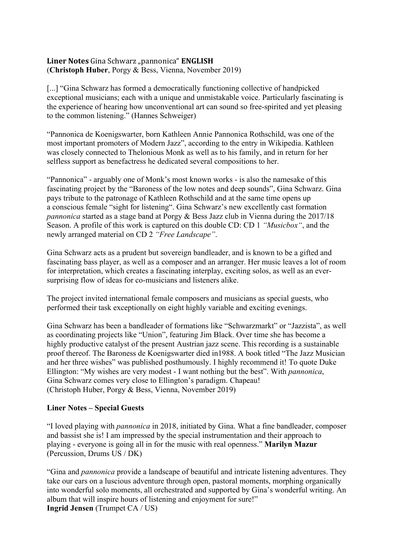## **Liner&Notes&**Gina!Schwarz!"pannonica" **ENGLISH** (**Christoph Huber**, Porgy & Bess, Vienna, November 2019)

[...] "Gina Schwarz has formed a democratically functioning collective of handpicked exceptional musicians; each with a unique and unmistakable voice. Particularly fascinating is the experience of hearing how unconventional art can sound so free-spirited and yet pleasing to the common listening." (Hannes Schweiger)

"Pannonica de Koenigswarter, born Kathleen Annie Pannonica Rothschild, was one of the most important promoters of Modern Jazz", according to the entry in Wikipedia. Kathleen was closely connected to Thelonious Monk as well as to his family, and in return for her selfless support as benefactress he dedicated several compositions to her.

"Pannonica" - arguably one of Monk's most known works - is also the namesake of this fascinating project by the "Baroness of the low notes and deep sounds", Gina Schwarz. Gina pays tribute to the patronage of Kathleen Rothschild and at the same time opens up a conscious female "sight for listening". Gina Schwarz's new excellently cast formation *pannonica* started as a stage band at Porgy & Bess Jazz club in Vienna during the 2017/18 Season. A profile of this work is captured on this double CD: CD 1 *"Musicbox"*, and the newly arranged material on CD 2 *"Free Landscape"*.

Gina Schwarz acts as a prudent but sovereign bandleader, and is known to be a gifted and fascinating bass player, as well as a composer and an arranger. Her music leaves a lot of room for interpretation, which creates a fascinating interplay, exciting solos, as well as an eversurprising flow of ideas for co-musicians and listeners alike.

The project invited international female composers and musicians as special guests, who performed their task exceptionally on eight highly variable and exciting evenings.

Gina Schwarz has been a bandleader of formations like "Schwarzmarkt" or "Jazzista", as well as coordinating projects like "Union", featuring Jim Black. Over time she has become a highly productive catalyst of the present Austrian jazz scene. This recording is a sustainable proof thereof. The Baroness de Koenigswarter died in1988. A book titled "The Jazz Musician and her three wishes" was published posthumously. I highly recommend it! To quote Duke Ellington: "My wishes are very modest - I want nothing but the best". With *pannonica*, Gina Schwarz comes very close to Ellington's paradigm. Chapeau! (Christoph Huber, Porgy & Bess, Vienna, November 2019)

## **Liner Notes – Special Guests**

"I loved playing with *pannonica* in 2018, initiated by Gina. What a fine bandleader, composer and bassist she is! I am impressed by the special instrumentation and their approach to playing - everyone is going all in for the music with real openness." **Marilyn Mazur** (Percussion, Drums US / DK)

"Gina and *pannonica* provide a landscape of beautiful and intricate listening adventures. They take our ears on a luscious adventure through open, pastoral moments, morphing organically into wonderful solo moments, all orchestrated and supported by Gina's wonderful writing. An album that will inspire hours of listening and enjoyment for sure!" **Ingrid Jensen** (Trumpet CA / US)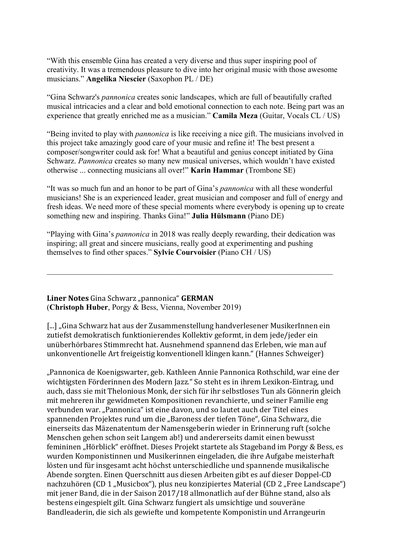"With this ensemble Gina has created a very diverse and thus super inspiring pool of creativity. It was a tremendous pleasure to dive into her original music with those awesome musicians." **Angelika Niescier** (Saxophon PL / DE)

"Gina Schwarz's *pannonica* creates sonic landscapes, which are full of beautifully crafted musical intricacies and a clear and bold emotional connection to each note. Being part was an experience that greatly enriched me as a musician." **Camila Meza** (Guitar, Vocals CL / US)

"Being invited to play with *pannonica* is like receiving a nice gift. The musicians involved in this project take amazingly good care of your music and refine it! The best present a composer/songwriter could ask for! What a beautiful and genius concept initiated by Gina Schwarz. *Pannonica* creates so many new musical universes, which wouldn't have existed otherwise ... connecting musicians all over!" **Karin Hammar** (Trombone SE)

"It was so much fun and an honor to be part of Gina's *pannonica* with all these wonderful musicians! She is an experienced leader, great musician and composer and full of energy and fresh ideas. We need more of these special moments where everybody is opening up to create something new and inspiring. Thanks Gina!" **Julia Hülsmann** (Piano DE)

"Playing with Gina's *pannonica* in 2018 was really deeply rewarding, their dedication was inspiring; all great and sincere musicians, really good at experimenting and pushing themselves to find other spaces." **Sylvie Courvoisier** (Piano CH / US)

 $\_$  , and the contribution of the contribution of  $\mathcal{L}_\mathcal{A}$  , and the contribution of  $\mathcal{L}_\mathcal{A}$ 

## **Liner Notes** Gina Schwarz "pannonica" **GERMAN** (**Christoph Huber**, Porgy & Bess, Vienna, November 2019)

[...] "Gina Schwarz hat aus der Zusammenstellung handverlesener MusikerInnen ein zutiefst demokratisch funktionierendes Kollektiv geformt, in dem jede/jeder ein unüberhörbares Stimmrecht hat. Ausnehmend spannend das Erleben, wie man auf unkonventionelle Art freigeistig konventionell klingen kann." (Hannes Schweiger)

"Pannonica de Koenigswarter, geb. Kathleen Annie Pannonica Rothschild, war eine der wichtigsten Förderinnen des Modern Jazz." So steht es in ihrem Lexikon-Eintrag, und auch, dass sie mit Thelonious Monk, der sich für ihr selbstloses Tun als Gönnerin gleich mit mehreren ihr gewidmeten Kompositionen revanchierte, und seiner Familie eng verbunden war. "Pannonica" ist eine davon, und so lautet auch der Titel eines spannenden Projektes rund um die "Baroness der tiefen Töne", Gina Schwarz, die einerseits das Mäzenatentum der Namensgeberin wieder in Erinnerung ruft (solche Menschen gehen schon seit Langem ab!) und andererseits damit einen bewusst femininen "Hörblick" eröffnet. Dieses Projekt startete als Stageband im Porgy & Bess, es wurden Komponistinnen und Musikerinnen eingeladen, die ihre Aufgabe meisterhaft lösten und für insgesamt acht höchst unterschiedliche und spannende musikalische Abende sorgten. Einen Querschnitt aus diesen Arbeiten gibt es auf dieser Doppel-CD nachzuhören (CD 1 "Musicbox"), plus neu konzipiertes Material (CD 2 "Free Landscape") mit jener Band, die in der Saison 2017/18 allmonatlich auf der Bühne stand, also als bestens eingespielt gilt. Gina Schwarz fungiert als umsichtige und souveräne Bandleaderin, die sich als gewiefte und kompetente Komponistin und Arrangeurin